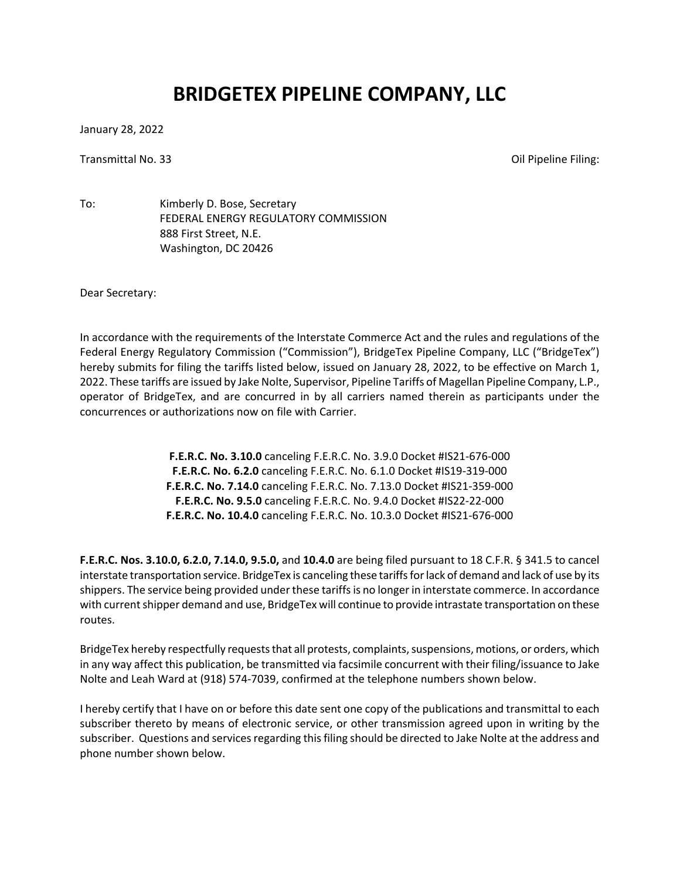## **BRIDGETEX PIPELINE COMPANY, LLC**

January 28, 2022

Transmittal No. 33 Oil Pipeline Filing:

To: Kimberly D. Bose, Secretary FEDERAL ENERGY REGULATORY COMMISSION 888 First Street, N.E. Washington, DC 20426

Dear Secretary:

In accordance with the requirements of the Interstate Commerce Act and the rules and regulations of the Federal Energy Regulatory Commission ("Commission"), BridgeTex Pipeline Company, LLC ("BridgeTex") hereby submits for filing the tariffs listed below, issued on January 28, 2022, to be effective on March 1, 2022. These tariffs are issued by Jake Nolte, Supervisor, Pipeline Tariffs of Magellan Pipeline Company, L.P., operator of BridgeTex, and are concurred in by all carriers named therein as participants under the concurrences or authorizations now on file with Carrier.

> **F.E.R.C. No. 3.10.0** canceling F.E.R.C. No. 3.9.0 Docket #IS21-676-000 **F.E.R.C. No. 6.2.0** canceling F.E.R.C. No. 6.1.0 Docket #IS19-319-000 **F.E.R.C. No. 7.14.0** canceling F.E.R.C. No. 7.13.0 Docket #IS21-359-000 **F.E.R.C. No. 9.5.0** canceling F.E.R.C. No. 9.4.0 Docket #IS22-22-000 **F.E.R.C. No. 10.4.0** canceling F.E.R.C. No. 10.3.0 Docket #IS21-676-000

**F.E.R.C. Nos. 3.10.0, 6.2.0, 7.14.0, 9.5.0,** and **10.4.0** are being filed pursuant to 18 C.F.R. § 341.5 to cancel interstate transportation service. BridgeTex is canceling these tariffsfor lack of demand and lack of use by its shippers. The service being provided under these tariffs is no longer in interstate commerce. In accordance with current shipper demand and use, BridgeTex will continue to provide intrastate transportation on these routes.

BridgeTex hereby respectfully requests that all protests, complaints, suspensions, motions, or orders, which in any way affect this publication, be transmitted via facsimile concurrent with their filing/issuance to Jake Nolte and Leah Ward at (918) 574-7039, confirmed at the telephone numbers shown below.

I hereby certify that I have on or before this date sent one copy of the publications and transmittal to each subscriber thereto by means of electronic service, or other transmission agreed upon in writing by the subscriber. Questions and services regarding this filing should be directed to Jake Nolte at the address and phone number shown below.